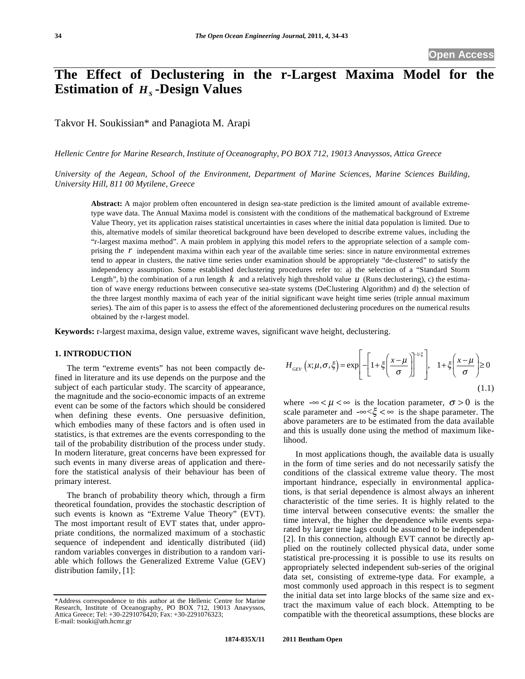# **The Effect of Declustering in the r-Largest Maxima Model for the Estimation of** *H***<sub>s</sub> <b>-Design Values**

Takvor H. Soukissian\* and Panagiota M. Arapi

*Hellenic Centre for Marine Research, Institute of Oceanography, PO BOX 712, 19013 Anavyssos, Attica Greece* 

*University of the Aegean, School of the Environment, Department of Marine Sciences, Marine Sciences Building, University Hill, 811 00 Mytilene, Greece* 

**Abstract:** A major problem often encountered in design sea-state prediction is the limited amount of available extremetype wave data. The Annual Maxima model is consistent with the conditions of the mathematical background of Extreme Value Theory, yet its application raises statistical uncertainties in cases where the initial data population is limited. Due to this, alternative models of similar theoretical background have been developed to describe extreme values, including the "r-largest maxima method". A main problem in applying this model refers to the appropriate selection of a sample comprising the *r* independent maxima within each year of the available time series: since in nature environmental extremes tend to appear in clusters, the native time series under examination should be appropriately "de-clustered" to satisfy the independency assumption. Some established declustering procedures refer to: a) the selection of a "Standard Storm Length", b) the combination of a run length  $k$  and a relatively high threshold value  $u$  (Runs declustering), c) the estimation of wave energy reductions between consecutive sea-state systems (DeClustering Algorithm) and d) the selection of the three largest monthly maxima of each year of the initial significant wave height time series (triple annual maximum series). The aim of this paper is to assess the effect of the aforementioned declustering procedures on the numerical results obtained by the r-largest model.

**Keywords:** r-largest maxima, design value, extreme waves, significant wave height, declustering.

# **1. INTRODUCTION**

The term "extreme events" has not been compactly defined in literature and its use depends on the purpose and the subject of each particular study. The scarcity of appearance, the magnitude and the socio-economic impacts of an extreme event can be some of the factors which should be considered when defining these events. One persuasive definition, which embodies many of these factors and is often used in statistics, is that extremes are the events corresponding to the tail of the probability distribution of the process under study. In modern literature, great concerns have been expressed for such events in many diverse areas of application and therefore the statistical analysis of their behaviour has been of primary interest.

The branch of probability theory which, through a firm theoretical foundation, provides the stochastic description of such events is known as "Extreme Value Theory" (EVT). The most important result of EVT states that, under appropriate conditions, the normalized maximum of a stochastic sequence of independent and identically distributed (iid) random variables converges in distribution to a random variable which follows the Generalized Extreme Value (GEV) distribution family, [1]:

$$
H_{GEV}\left(x;\mu,\sigma,\xi\right) = \exp\left[-\left[1+\xi\left(\frac{x-\mu}{\sigma}\right)\right]^{1/\xi}\right], \quad 1+\xi\left(\frac{x-\mu}{\sigma}\right) \ge 0\tag{1.1}
$$

where  $-\infty < \mu < \infty$  is the location parameter,  $\sigma > 0$  is the scale parameter and  $-\infty < \xi < \infty$  is the shape parameter. The above parameters are to be estimated from the data available and this is usually done using the method of maximum likelihood.

In most applications though, the available data is usually in the form of time series and do not necessarily satisfy the conditions of the classical extreme value theory. The most important hindrance, especially in environmental applications, is that serial dependence is almost always an inherent characteristic of the time series. It is highly related to the time interval between consecutive events: the smaller the time interval, the higher the dependence while events separated by larger time lags could be assumed to be independent [2]. In this connection, although EVT cannot be directly applied on the routinely collected physical data, under some statistical pre-processing it is possible to use its results on appropriately selected independent sub-series of the original data set, consisting of extreme-type data. For example, a most commonly used approach in this respect is to segment the initial data set into large blocks of the same size and extract the maximum value of each block. Attempting to be compatible with the theoretical assumptions, these blocks are

<sup>\*</sup>Address correspondence to this author at the Hellenic Centre for Marine Research, Institute of Oceanography, PO BOX 712, 19013 Anavyssos, Attica Greece; Tel: +30-2291076420; Fax: +30-2291076323; E-mail: tsouki@ath.hcmr.gr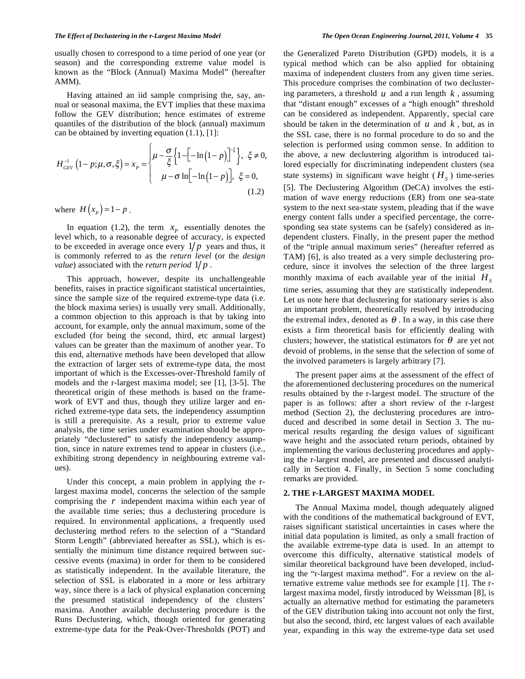usually chosen to correspond to a time period of one year (or season) and the corresponding extreme value model is known as the "Block (Annual) Maxima Model" (hereafter AMM).

Having attained an iid sample comprising the, say, annual or seasonal maxima, the EVT implies that these maxima follow the GEV distribution; hence estimates of extreme quantiles of the distribution of the block (annual) maximum can be obtained by inverting equation (1.1), [1]:

$$
H_{GEV}^{-1}\left(1-p;\mu,\sigma,\xi\right) = x_p = \begin{cases} \mu - \frac{\sigma}{\xi} \left\{1 - \left[-\ln\left(1-p\right)\right]^{-\xi}\right\}, & \xi \neq 0, \\ \mu - \sigma \ln\left[-\ln\left(1-p\right)\right], & \xi = 0, \end{cases}
$$
\n(1.2)

where  $H(x_p) = 1 - p$ .

In equation (1.2), the term  $x_p$  essentially denotes the level which, to a reasonable degree of accuracy, is expected to be exceeded in average once every  $1/p$  years and thus, it is commonly referred to as the *return level* (or the *design value*) associated with the *return period*  $1/p$ .

This approach, however, despite its unchallengeable benefits, raises in practice significant statistical uncertainties, since the sample size of the required extreme-type data (i.e. the block maxima series) is usually very small. Additionally, a common objection to this approach is that by taking into account, for example, only the annual maximum, some of the excluded (for being the second, third, etc annual largest) values can be greater than the maximum of another year. To this end, alternative methods have been developed that allow the extraction of larger sets of extreme-type data, the most important of which is the Excesses-over-Threshold family of models and the r-largest maxima model; see [1], [3-5]. The theoretical origin of these methods is based on the framework of EVT and thus, though they utilize larger and enriched extreme-type data sets, the independency assumption is still a prerequisite. As a result, prior to extreme value analysis, the time series under examination should be appropriately "declustered" to satisfy the independency assumption, since in nature extremes tend to appear in clusters (i.e., exhibiting strong dependency in neighbouring extreme values).

Under this concept, a main problem in applying the rlargest maxima model, concerns the selection of the sample comprising the *r* independent maxima within each year of the available time series; thus a declustering procedure is required. In environmental applications, a frequently used declustering method refers to the selection of a "Standard Storm Length" (abbreviated hereafter as SSL), which is essentially the minimum time distance required between successive events (maxima) in order for them to be considered as statistically independent. In the available literature, the selection of SSL is elaborated in a more or less arbitrary way, since there is a lack of physical explanation concerning the presumed statistical independency of the clusters' maxima. Another available declustering procedure is the Runs Declustering, which, though oriented for generating extreme-type data for the Peak-Over-Thresholds (POT) and the Generalized Pareto Distribution (GPD) models, it is a typical method which can be also applied for obtaining maxima of independent clusters from any given time series. This procedure comprises the combination of two declustering parameters, a threshold  $u$  and a run length  $k$ , assuming that "distant enough" excesses of a "high enough" threshold can be considered as independent. Apparently, special care should be taken in the determination of *u* and *k* , but, as in the SSL case, there is no formal procedure to do so and the selection is performed using common sense. In addition to the above, a new declustering algorithm is introduced tailored especially for discriminating independent clusters (sea state systems) in significant wave height ( $H<sub>s</sub>$ ) time-series [5]. The Declustering Algorithm (DeCA) involves the estimation of wave energy reductions (ER) from one sea-state system to the next sea-state system, pleading that if the wave energy content falls under a specified percentage, the corresponding sea state systems can be (safely) considered as independent clusters. Finally, in the present paper the method of the "triple annual maximum series" (hereafter referred as TAM) [6], is also treated as a very simple declustering procedure, since it involves the selection of the three largest monthly maxima of each available year of the initial  $H<sub>s</sub>$ time series, assuming that they are statistically independent. Let us note here that declustering for stationary series is also an important problem, theoretically resolved by introducing the extremal index, denoted as  $\theta$ . In a way, in this case there exists a firm theoretical basis for efficiently dealing with clusters; however, the statistical estimators for  $\theta$  are yet not devoid of problems, in the sense that the selection of some of the involved parameters is largely arbitrary [7].

The present paper aims at the assessment of the effect of the aforementioned declustering procedures on the numerical results obtained by the r-largest model. The structure of the paper is as follows: after a short review of the r-largest method (Section 2), the declustering procedures are introduced and described in some detail in Section 3. The numerical results regarding the design values of significant wave height and the associated return periods, obtained by implementing the various declustering procedures and applying the r-largest model, are presented and discussed analytically in Section 4. Finally, in Section 5 some concluding remarks are provided.

#### **2. THE r-LARGEST MAXIMA MODEL**

The Annual Maxima model, though adequately aligned with the conditions of the mathematical background of EVT, raises significant statistical uncertainties in cases where the initial data population is limited, as only a small fraction of the available extreme-type data is used. In an attempt to overcome this difficulty, alternative statistical models of similar theoretical background have been developed, including the "r-largest maxima method". For a review on the alternative extreme value methods see for example [1]. The rlargest maxima model, firstly introduced by Weissman [8], is actually an alternative method for estimating the parameters of the GEV distribution taking into account not only the first, but also the second, third, etc largest values of each available year, expanding in this way the extreme-type data set used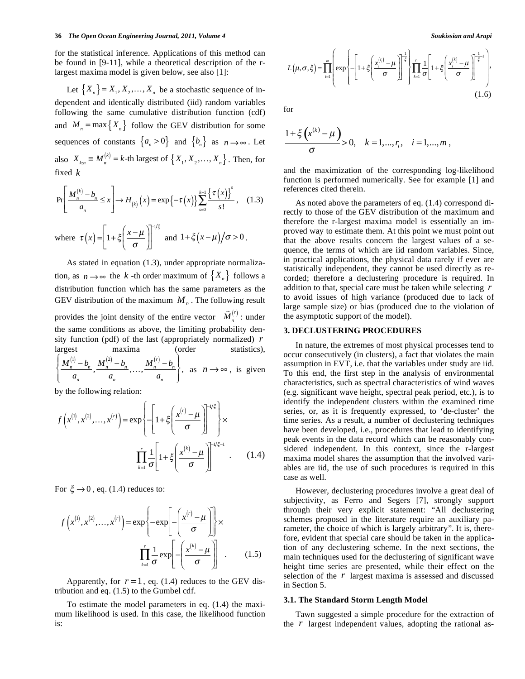#### **36** *The Open Ocean Engineering Journal, 2011, Volume 4* **Soukissian and Arapi<sup>on</sup> Soukissian and Arapi**

for the statistical inference. Applications of this method can be found in [9-11], while a theoretical description of the rlargest maxima model is given below, see also [1]:

Let  ${X_n} = X_1, X_2, \ldots, X_n$  be a stochastic sequence of independent and identically distributed (iid) random variables following the same cumulative distribution function (cdf) and  $M_n = \max\{X_n\}$  follow the GEV distribution for some sequences of constants  $\{a_n > 0\}$  and  $\{b_n\}$  as  $n \to \infty$ . Let also  $X_{k,n} \equiv M_n^{(k)} = k$ -th largest of  $\{X_1, X_2, \ldots, X_n\}$ . Then, for fixed *k*

$$
\Pr\left[\frac{M_n^{(k)} - b_n}{a_n} \le x\right] \to H_{(k)}\left(x\right) = \exp\left\{-\tau\left(x\right)\right\} \sum_{s=0}^{k-1} \frac{\left\{\tau\left(x\right)\right\}^s}{s!},\quad(1.3)
$$

where  $\tau(x) = \left| 1 + \xi \left( \frac{x - \mu}{\sigma} \right) \right|$ ſ l  $\left(\frac{x-\mu}{\sigma}\right)$  $\overline{1}$  $1+\xi\left(\frac{x-\mu}{\sigma}\right)$ L  $\left|1+\xi\left(\frac{x-\mu}{\mu}\right)\right|$ IJ II HI/ξ and  $1 + \xi(x-\mu)/\sigma > 0$ .

As stated in equation (1.3), under appropriate normalization, as  $n \to \infty$  the *k* -th order maximum of  $\{X_n\}$  follows a distribution function which has the same parameters as the GEV distribution of the maximum  $M<sub>n</sub>$ . The following result provides the joint density of the entire vector  $\vec{M}_n^{(r)}$ : under the same conditions as above, the limiting probability density function (pdf) of the last (appropriately normalized) *r* largest maxima (order statistics),  $M_n^{(1)} - b_n$  $\frac{10}{a_n} - b_n$ ,  $\frac{M_n^{(2)} - b_n^{(2)}}{a_n}$  $\frac{a_n}{a_n}$ ,...,  $\frac{M_n^{(r)} - b_n}{a_n}$ *an*  $\left\{\right.$  $\overline{\mathcal{L}}$  $\mathbf{I}$  $\left\{ \right.$ J , as  $n \rightarrow \infty$ , is given

by the following relation:

$$
f\left(x^{(1)}, x^{(2)}, \dots, x^{(r)}\right) = \exp\left\{-\left[1 + \xi\left(\frac{x^{(r)} - \mu}{\sigma}\right)\right]^{-1/\xi}\right\} \times \prod_{k=1}^r \frac{1}{\sigma} \left[1 + \xi\left(\frac{x^{(k)} - \mu}{\sigma}\right)\right]^{-1/\xi - 1} . \tag{1.4}
$$

For  $\xi \rightarrow 0$ , eq. (1.4) reduces to:

$$
f\left(x^{(1)}, x^{(2)}, \dots, x^{(r)}\right) = \exp\left\{-\exp\left[-\left(\frac{x^{(r)} - \mu}{\sigma}\right)\right]\right\} \times \prod_{k=1}^{r} \frac{1}{\sigma} \exp\left[-\left(\frac{x^{(k)} - \mu}{\sigma}\right)\right] \quad . \tag{1.5}
$$

Apparently, for  $r = 1$ , eq. (1.4) reduces to the GEV distribution and eq. (1.5) to the Gumbel cdf.

To estimate the model parameters in eq. (1.4) the maximum likelihood is used. In this case, the likelihood function is:

$$
L(\mu, \sigma, \xi) = \prod_{i=1}^{m} \left( \exp\left\{ -\left[1 + \xi \left(\frac{x_i^{(r_i)} - \mu}{\sigma}\right)\right]^{\frac{1}{\xi}} \right\} \prod_{k=1}^{r_i} \frac{1}{\sigma} \left[1 + \xi \left(\frac{x_i^{(k)} - \mu}{\sigma}\right)\right]^{\frac{1}{\xi} - 1},\tag{1.6}
$$

for

$$
\frac{1+\xi\left(x^{(k)}-\mu\right)}{\sigma} > 0, \quad k=1,\dots,r_i, \quad i=1,\dots,m\,,
$$

and the maximization of the corresponding log-likelihood function is performed numerically. See for example [1] and references cited therein.

As noted above the parameters of eq. (1.4) correspond directly to those of the GEV distribution of the maximum and therefore the r-largest maxima model is essentially an improved way to estimate them. At this point we must point out that the above results concern the largest values of a sequence, the terms of which are iid random variables. Since, in practical applications, the physical data rarely if ever are statistically independent, they cannot be used directly as recorded; therefore a declustering procedure is required. In addition to that, special care must be taken while selecting *r* to avoid issues of high variance (produced due to lack of large sample size) or bias (produced due to the violation of the asymptotic support of the model).

#### **3. DECLUSTERING PROCEDURES**

In nature, the extremes of most physical processes tend to occur consecutively (in clusters), a fact that violates the main assumption in EVT, i.e. that the variables under study are iid. To this end, the first step in the analysis of environmental characteristics, such as spectral characteristics of wind waves (e.g. significant wave height, spectral peak period, etc.), is to identify the independent clusters within the examined time series, or, as it is frequently expressed, to 'de-cluster' the time series. As a result, a number of declustering techniques have been developed, i.e., procedures that lead to identifying peak events in the data record which can be reasonably considered independent. In this context, since the r-largest maxima model shares the assumption that the involved variables are iid, the use of such procedures is required in this case as well.

However, declustering procedures involve a great deal of subjectivity, as Ferro and Segers [7], strongly support through their very explicit statement: "All declustering schemes proposed in the literature require an auxiliary parameter, the choice of which is largely arbitrary". It is, therefore, evident that special care should be taken in the application of any declustering scheme. In the next sections, the main techniques used for the declustering of significant wave height time series are presented, while their effect on the selection of the *r* largest maxima is assessed and discussed in Section 5.

#### **3.1. The Standard Storm Length Model**

Tawn suggested a simple procedure for the extraction of the *r* largest independent values, adopting the rational as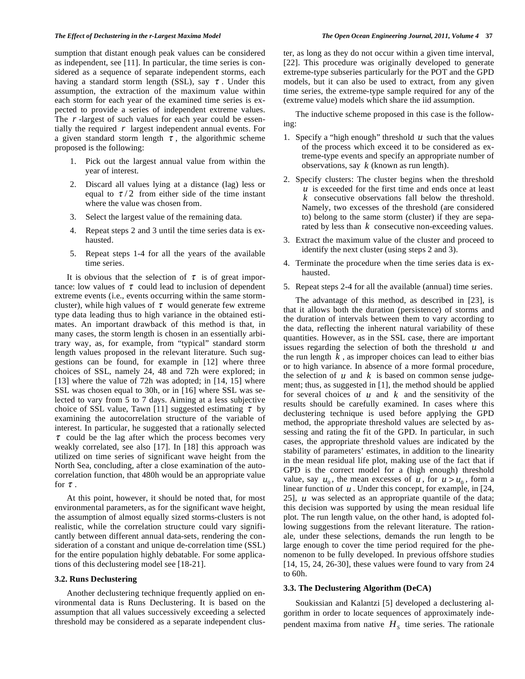sumption that distant enough peak values can be considered as independent, see [11]. In particular, the time series is considered as a sequence of separate independent storms, each having a standard storm length (SSL), say  $\tau$ . Under this assumption, the extraction of the maximum value within each storm for each year of the examined time series is expected to provide a series of independent extreme values. The *r* -largest of such values for each year could be essentially the required *r* largest independent annual events. For a given standard storm length  $\tau$ , the algorithmic scheme proposed is the following:

- 1. Pick out the largest annual value from within the year of interest.
- 2. Discard all values lying at a distance (lag) less or equal to  $\tau/2$  from either side of the time instant where the value was chosen from.
- 3. Select the largest value of the remaining data.
- 4. Repeat steps 2 and 3 until the time series data is exhausted.
- 5. Repeat steps 1-4 for all the years of the available time series.

It is obvious that the selection of  $\tau$  is of great importance: low values of  $\tau$  could lead to inclusion of dependent extreme events (i.e., events occurring within the same stormcluster), while high values of  $\tau$  would generate few extreme type data leading thus to high variance in the obtained estimates. An important drawback of this method is that, in many cases, the storm length is chosen in an essentially arbitrary way, as, for example, from "typical" standard storm length values proposed in the relevant literature. Such suggestions can be found, for example in [12] where three choices of SSL, namely 24, 48 and 72h were explored; in [13] where the value of 72h was adopted; in [14, 15] where SSL was chosen equal to 30h, or in [16] where SSL was selected to vary from 5 to 7 days. Aiming at a less subjective choice of SSL value, Tawn [11] suggested estimating  $\tau$  by examining the autocorrelation structure of the variable of interest. In particular, he suggested that a rationally selected  $\tau$  could be the lag after which the process becomes very weakly correlated, see also [17]. In [18] this approach was utilized on time series of significant wave height from the North Sea, concluding, after a close examination of the autocorrelation function, that 480h would be an appropriate value for  $\tau$ .

At this point, however, it should be noted that, for most environmental parameters, as for the significant wave height, the assumption of almost equally sized storms-clusters is not realistic, while the correlation structure could vary significantly between different annual data-sets, rendering the consideration of a constant and unique de-correlation time (SSL) for the entire population highly debatable. For some applications of this declustering model see [18-21].

## **3.2. Runs Declustering**

Another declustering technique frequently applied on environmental data is Runs Declustering. It is based on the assumption that all values successively exceeding a selected threshold may be considered as a separate independent cluster, as long as they do not occur within a given time interval, [22]. This procedure was originally developed to generate extreme-type subseries particularly for the POT and the GPD models, but it can also be used to extract, from any given time series, the extreme-type sample required for any of the (extreme value) models which share the iid assumption.

The inductive scheme proposed in this case is the following:

- 1. Specify a "high enough" threshold  $u$  such that the values of the process which exceed it to be considered as extreme-type events and specify an appropriate number of observations, say *k* (known as run length).
- 2. Specify clusters: The cluster begins when the threshold  $u$  is exceeded for the first time and ends once at least *k* consecutive observations fall below the threshold. Namely, two excesses of the threshold (are considered to) belong to the same storm (cluster) if they are separated by less than *k* consecutive non-exceeding values.
- 3. Extract the maximum value of the cluster and proceed to identify the next cluster (using steps 2 and 3).
- 4. Terminate the procedure when the time series data is exhausted.
- 5. Repeat steps 2-4 for all the available (annual) time series.

The advantage of this method, as described in [23], is that it allows both the duration (persistence) of storms and the duration of intervals between them to vary according to the data, reflecting the inherent natural variability of these quantities. However, as in the SSL case, there are important issues regarding the selection of both the threshold *u* and the run length  $k$ , as improper choices can lead to either bias or to high variance. In absence of a more formal procedure, the selection of  $u$  and  $k$  is based on common sense judgement; thus, as suggested in [1], the method should be applied for several choices of *u* and *k* and the sensitivity of the results should be carefully examined. In cases where this declustering technique is used before applying the GPD method, the appropriate threshold values are selected by assessing and rating the fit of the GPD. In particular, in such cases, the appropriate threshold values are indicated by the stability of parameters' estimates, in addition to the linearity in the mean residual life plot, making use of the fact that if GPD is the correct model for a (high enough) threshold value, say  $u_0$ , the mean excesses of u, for  $u > u_0$ , form a linear function of *u* . Under this concept, for example, in [24, 25], *u* was selected as an appropriate quantile of the data; this decision was supported by using the mean residual life plot. The run length value, on the other hand, is adopted following suggestions from the relevant literature. The rationale, under these selections, demands the run length to be large enough to cover the time period required for the phenomenon to be fully developed. In previous offshore studies [14, 15, 24, 26-30], these values were found to vary from 24 to 60h.

# **3.3. The Declustering Algorithm (DeCA)**

Soukissian and Kalantzi [5] developed a declustering algorithm in order to locate sequences of approximately independent maxima from native  $H<sub>s</sub>$  time series. The rationale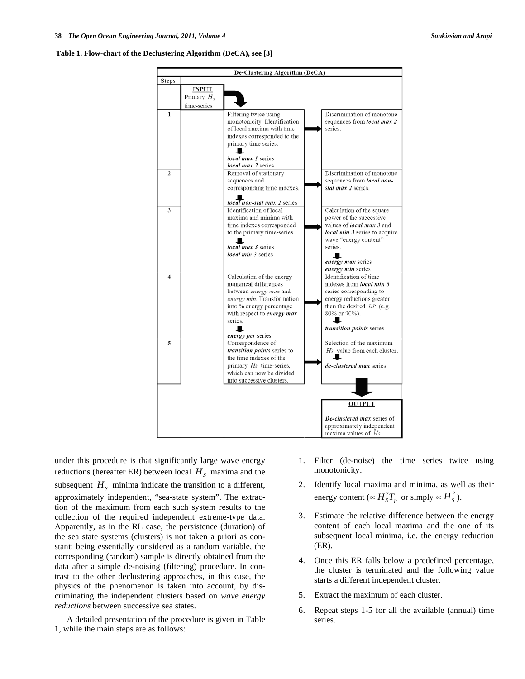#### **Table 1. Flow-chart of the Declustering Algorithm (DeCA), see [3]**



under this procedure is that significantly large wave energy reductions (hereafter ER) between local  $H<sub>S</sub>$  maxima and the subsequent  $H<sub>S</sub>$  minima indicate the transition to a different, approximately independent, "sea-state system". The extraction of the maximum from each such system results to the collection of the required independent extreme-type data. Apparently, as in the RL case, the persistence (duration) of the sea state systems (clusters) is not taken a priori as constant: being essentially considered as a random variable, the corresponding (random) sample is directly obtained from the data after a simple de-noising (filtering) procedure. In contrast to the other declustering approaches, in this case, the physics of the phenomenon is taken into account, by discriminating the independent clusters based on *wave energy reductions* between successive sea states.

A detailed presentation of the procedure is given in Table **1**, while the main steps are as follows:

- 1. Filter (de-noise) the time series twice using monotonicity.
- 2. Identify local maxima and minima, as well as their energy content ( $\propto H_s^2 T_p$  or simply  $\propto H_s^2$ ).
- 3. Estimate the relative difference between the energy content of each local maxima and the one of its subsequent local minima, i.e. the energy reduction (ER).
- 4. Once this ER falls below a predefined percentage, the cluster is terminated and the following value starts a different independent cluster.
- 5. Extract the maximum of each cluster.
- 6. Repeat steps 1-5 for all the available (annual) time series.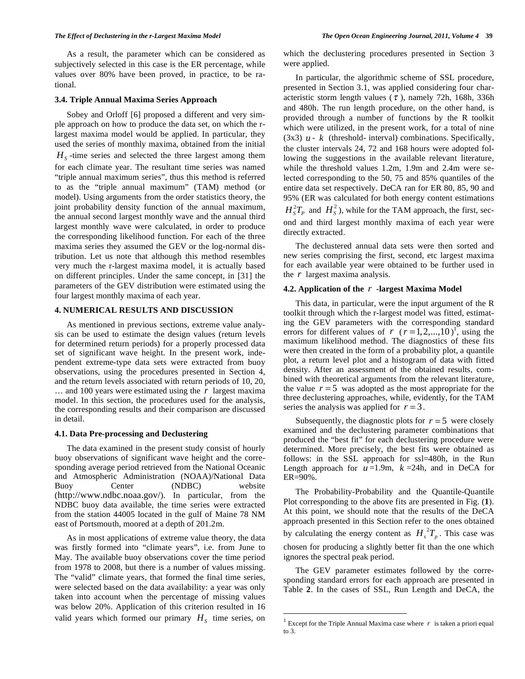As a result, the parameter which can be considered as subjectively selected in this case is the ER percentage, while values over 80% have been proved, in practice, to be rational.

## **3.4. Triple Annual Maxima Series Approach**

Sobey and Orloff [6] proposed a different and very simple approach on how to produce the data set, on which the rlargest maxima model would be applied. In particular, they used the series of monthly maxima, obtained from the initial  $H<sub>s</sub>$ -time series and selected the three largest among them for each climate year. The resultant time series was named "triple annual maximum series", thus this method is referred to as the "triple annual maximum" (TAM) method (or model). Using arguments from the order statistics theory, the joint probability density function of the annual maximum, the annual second largest monthly wave and the annual third largest monthly wave were calculated, in order to produce the corresponding likelihood function. For each of the three maxima series they assumed the GEV or the log-normal distribution. Let us note that although this method resembles very much the r-largest maxima model, it is actually based on different principles. Under the same concept, in [31] the parameters of the GEV distribution were estimated using the four largest monthly maxima of each year.

# **4. NUMERICAL RESULTS AND DISCUSSION**

As mentioned in previous sections, extreme value analysis can be used to estimate the design values (return levels for determined return periods) for a properly processed data set of significant wave height. In the present work, independent extreme-type data sets were extracted from buoy observations, using the procedures presented in Section 4, and the return levels associated with return periods of 10, 20, … and 100 years were estimated using the *r* largest maxima model. In this section, the procedures used for the analysis, the corresponding results and their comparison are discussed in detail.

#### **4.1. Data Pre-processing and Declustering**

The data examined in the present study consist of hourly buoy observations of significant wave height and the corresponding average period retrieved from the National Oceanic and Atmospheric Administration (NOAA)/National Data Buoy Center (NDBC) website (http://www.ndbc.noaa.gov/). In particular, from the NDBC buoy data available, the time series were extracted from the station 44005 located in the gulf of Maine 78 NM east of Portsmouth, moored at a depth of 201.2m.

As in most applications of extreme value theory, the data was firstly formed into "climate years", i.e. from June to May. The available buoy observations cover the time period from 1978 to 2008, but there is a number of values missing. The "valid" climate years, that formed the final time series, were selected based on the data availability: a year was only taken into account when the percentage of missing values was below 20%. Application of this criterion resulted in 16 valid years which formed our primary  $H<sub>s</sub>$  time series, on

which the declustering procedures presented in Section 3 were applied.

In particular, the algorithmic scheme of SSL procedure, presented in Section 3.1, was applied considering four characteristic storm length values  $(\tau)$ , namely 72h, 168h, 336h and 480h. The run length procedure, on the other hand, is provided through a number of functions by the R toolkit which were utilized, in the present work, for a total of nine (3x3)  $u - k$  (threshold-interval) combinations. Specifically, the cluster intervals 24, 72 and 168 hours were adopted following the suggestions in the available relevant literature, while the threshold values 1.2m, 1.9m and 2.4m were selected corresponding to the 50, 75 and 85% quantiles of the entire data set respectively. DeCA ran for ER 80, 85, 90 and 95% (ER was calculated for both energy content estimations  $H_s^2T_p$  and  $H_s^2$ ), while for the TAM approach, the first, second and third largest monthly maxima of each year were directly extracted.

The declustered annual data sets were then sorted and new series comprising the first, second, etc largest maxima for each available year were obtained to be further used in the *r* largest maxima analysis.

#### **4.2. Application of the** *r* **-largest Maxima Model**

This data, in particular, were the input argument of the R toolkit through which the r-largest model was fitted, estimating the GEV parameters with the corresponding standard errors for different values of *r*  $(r=1, 2,..., 10)^T$ , using the maximum likelihood method. The diagnostics of these fits were then created in the form of a probability plot, a quantile plot, a return level plot and a histogram of data with fitted density. After an assessment of the obtained results, combined with theoretical arguments from the relevant literature, the value  $r = 5$  was adopted as the most appropriate for the three declustering approaches, while, evidently, for the TAM series the analysis was applied for  $r = 3$ .

Subsequently, the diagnostic plots for  $r = 5$  were closely examined and the declustering parameter combinations that produced the "best fit" for each declustering procedure were determined. More precisely, the best fits were obtained as follows: in the SSL approach for ssl=480h, in the Run Length approach for  $u=1.9m$ ,  $k=24h$ , and in DeCA for ER=90%.

The Probability-Probability and the Quantile-Quantile Plot corresponding to the above fits are presented in Fig. (**1**). At this point, we should note that the results of the DeCA approach presented in this Section refer to the ones obtained by calculating the energy content as  $H_1^2T_n$ . This case was chosen for producing a slightly better fit than the one which ignores the spectral peak period.

The GEV parameter estimates followed by the corresponding standard errors for each approach are presented in Table **2**. In the cases of SSL, Run Length and DeCA, the

<u>.</u>

<sup>&</sup>lt;sup>1</sup> Except for the Triple Annual Maxima case where  $r$  is taken a priori equal to 3.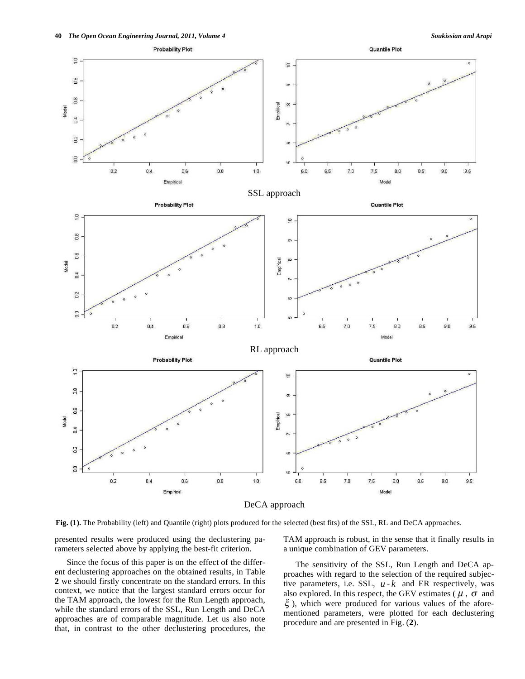

**Fig. (1).** The Probability (left) and Quantile (right) plots produced for the selected (best fits) of the SSL, RL and DeCA approaches.

presented results were produced using the declustering parameters selected above by applying the best-fit criterion.

Since the focus of this paper is on the effect of the different declustering approaches on the obtained results, in Table **2** we should firstly concentrate on the standard errors. In this context, we notice that the largest standard errors occur for the TAM approach, the lowest for the Run Length approach, while the standard errors of the SSL, Run Length and DeCA approaches are of comparable magnitude. Let us also note that, in contrast to the other declustering procedures, the TAM approach is robust, in the sense that it finally results in a unique combination of GEV parameters.

The sensitivity of the SSL, Run Length and DeCA approaches with regard to the selection of the required subjective parameters, i.e. SSL, *u* - *k* and ER respectively, was also explored. In this respect, the GEV estimates ( $\mu$ ,  $\sigma$  and  $\xi$ ), which were produced for various values of the aforementioned parameters, were plotted for each declustering procedure and are presented in Fig. (**2**).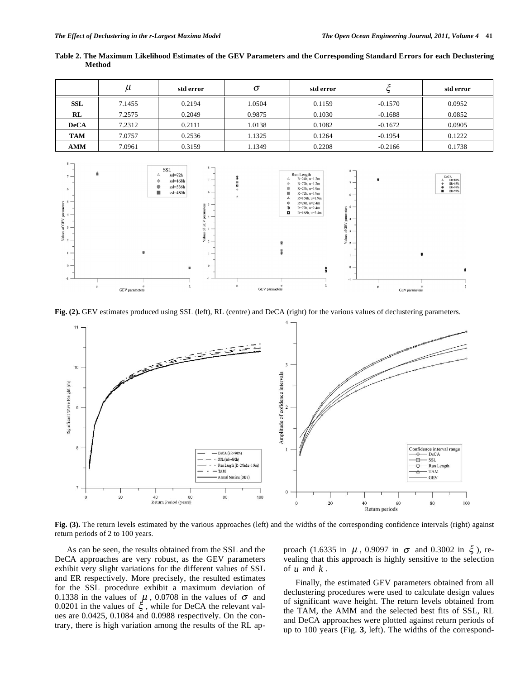GEV parameters

of GEV para

GEV parameters

|                              | $\mu$  | std error                                                                                                                           | $\sigma$                                 | std error                                                                                                                                                    |           | std error                                    |
|------------------------------|--------|-------------------------------------------------------------------------------------------------------------------------------------|------------------------------------------|--------------------------------------------------------------------------------------------------------------------------------------------------------------|-----------|----------------------------------------------|
| <b>SSL</b>                   | 7.1455 | 0.2194                                                                                                                              | 1.0504                                   | 0.1159                                                                                                                                                       | $-0.1570$ | 0.0952                                       |
| RL                           | 7.2575 | 0.2049                                                                                                                              | 0.9875                                   | 0.1030                                                                                                                                                       | $-0.1688$ | 0.0852                                       |
| <b>DeCA</b>                  | 7.2312 | 0.2111                                                                                                                              | 1.0138                                   | 0.1082                                                                                                                                                       | $-0.1672$ | 0.0905                                       |
| <b>TAM</b>                   | 7.0757 | 0.2536                                                                                                                              | 1.1325                                   | 0.1264                                                                                                                                                       | $-0.1954$ | 0.1222                                       |
| <b>AMM</b>                   | 7.0961 | 0.3159                                                                                                                              | 1.1349                                   | 0.2208                                                                                                                                                       | $-0.2166$ | 0.1738                                       |
| $8 -$<br>â<br>$7 -$<br>$6 -$ |        | $8 -$<br><b>SSL</b><br>$ssI=72h$<br>Δ<br>$\overline{\phantom{a}}$<br>$ss = 168h$<br>۰<br>$ssl = 336h$<br>●<br>$6 -$<br>$ssI = 480h$ | Δ<br>$\Leftrightarrow$<br>$\bullet$<br>ш | $8 -$<br>Run Length<br>$R = 24h$ , $u = 1.2m$<br>$\overline{\phantom{a}}$<br>$R = 72h$ , $u=1.2m$<br>$R = 24h$ , $u = 1.9m$<br>$R = 72h$ , $u=1.9m$<br>$6 -$ |           | DeCA<br>ER=80%<br>ER=85%<br>ER=90%<br>ER=95% |

 $R=168h$ ,  $u=1.9m$  $R = 24h$   $n = 2.4m$  $R = 72h$  u=2.4m  $R=168h, u=2.4m$ 

å

**Table 2. The Maximum Likelihood Estimates of the GEV Parameters and the Corresponding Standard Errors for each Declustering Method** 

**Fig. (2).** GEV estimates produced using SSL (left), RL (centre) and DeCA (right) for the various values of declustering parameters.

GEV<sub>n</sub>



**Fig. (3).** The return levels estimated by the various approaches (left) and the widths of the corresponding confidence intervals (right) against return periods of 2 to 100 years.

As can be seen, the results obtained from the SSL and the DeCA approaches are very robust, as the GEV parameters exhibit very slight variations for the different values of SSL and ER respectively. More precisely, the resulted estimates for the SSL procedure exhibit a maximum deviation of 0.1338 in the values of  $\mu$ , 0.0708 in the values of  $\sigma$  and 0.0201 in the values of  $\xi$ , while for DeCA the relevant values are 0.0425, 0.1084 and 0.0988 respectively. On the contrary, there is high variation among the results of the RL approach (1.6335 in  $\mu$ , 0.9097 in  $\sigma$  and 0.3002 in  $\xi$ ), revealing that this approach is highly sensitive to the selection of *u* and *k* .

Finally, the estimated GEV parameters obtained from all declustering procedures were used to calculate design values of significant wave height. The return levels obtained from the TAM, the AMM and the selected best fits of SSL, RL and DeCA approaches were plotted against return periods of up to 100 years (Fig. **3**, left). The widths of the correspond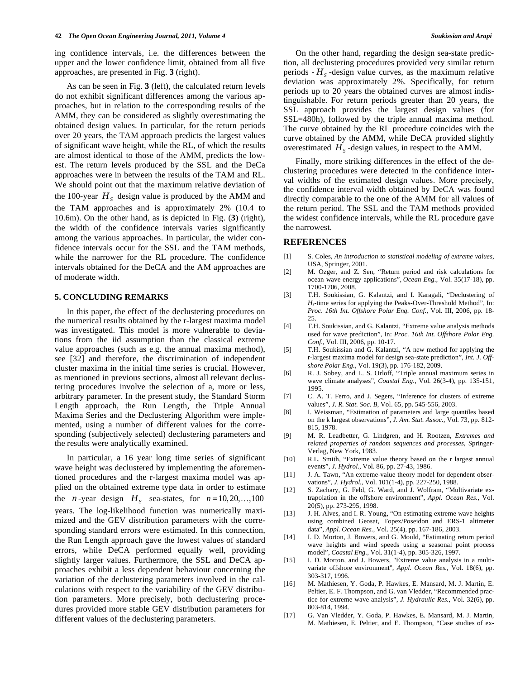ing confidence intervals, i.e. the differences between the upper and the lower confidence limit, obtained from all five approaches, are presented in Fig. **3** (right).

As can be seen in Fig. **3** (left), the calculated return levels do not exhibit significant differences among the various approaches, but in relation to the corresponding results of the AMM, they can be considered as slightly overestimating the obtained design values. In particular, for the return periods over 20 years, the TAM approach predicts the largest values of significant wave height, while the RL, of which the results are almost identical to those of the AMM, predicts the lowest. The return levels produced by the SSL and the DeCa approaches were in between the results of the TAM and RL. We should point out that the maximum relative deviation of the 100-year  $H<sub>s</sub>$  design value is produced by the AMM and the TAM approaches and is approximately 2% (10.4 to 10.6m). On the other hand, as is depicted in Fig. (**3**) (right), the width of the confidence intervals varies significantly among the various approaches. In particular, the wider confidence intervals occur for the SSL and the TAM methods, while the narrower for the RL procedure. The confidence intervals obtained for the DeCA and the AM approaches are of moderate width.

# **5. CONCLUDING REMARKS**

In this paper, the effect of the declustering procedures on the numerical results obtained by the r-largest maxima model was investigated. This model is more vulnerable to deviations from the iid assumption than the classical extreme value approaches (such as e.g. the annual maxima method), see [32] and therefore, the discrimination of independent cluster maxima in the initial time series is crucial. However, as mentioned in previous sections, almost all relevant declustering procedures involve the selection of a, more or less, arbitrary parameter. In the present study, the Standard Storm Length approach, the Run Length, the Triple Annual Maxima Series and the Declustering Algorithm were implemented, using a number of different values for the corresponding (subjectively selected) declustering parameters and the results were analytically examined.

In particular, a 16 year long time series of significant wave height was declustered by implementing the aforementioned procedures and the r-largest maxima model was applied on the obtained extreme type data in order to estimate the *n*-year design  $H<sub>S</sub>$  sea-states, for  $n=10, 20, \ldots, 100$ years. The log-likelihood function was numerically maximized and the GEV distribution parameters with the corresponding standard errors were estimated. In this connection, the Run Length approach gave the lowest values of standard errors, while DeCA performed equally well, providing slightly larger values. Furthermore, the SSL and DeCA approaches exhibit a less dependent behaviour concerning the variation of the declustering parameters involved in the calculations with respect to the variability of the GEV distribution parameters. More precisely, both declustering procedures provided more stable GEV distribution parameters for different values of the declustering parameters.

On the other hand, regarding the design sea-state prediction, all declustering procedures provided very similar return periods  $-H<sub>s</sub>$ -design value curves, as the maximum relative deviation was approximately 2%. Specifically, for return periods up to 20 years the obtained curves are almost indistinguishable. For return periods greater than 20 years, the SSL approach provides the largest design values (for SSL=480h), followed by the triple annual maxima method. The curve obtained by the RL procedure coincides with the curve obtained by the AMM, while DeCA provided slightly overestimated  $H<sub>S</sub>$ -design values, in respect to the AMM.

Finally, more striking differences in the effect of the declustering procedures were detected in the confidence interval widths of the estimated design values. More precisely, the confidence interval width obtained by DeCA was found directly comparable to the one of the AMM for all values of the return period. The SSL and the TAM methods provided the widest confidence intervals, while the RL procedure gave the narrowest.

#### **REFERENCES**

- [1] S. Coles, *An introduction to statistical modeling of extreme values*, USA, Springer, 2001.
- [2] M. Ozger, and Z. Sen, "Return period and risk calculations for ocean wave energy applications", *Ocean Eng.,* Vol. 35(17-18), pp. 1700-1706, 2008.
- [3] T.H. Soukissian, G. Kalantzi, and I. Karagali, "Declustering of *Hs*-time series for applying the Peaks-Over-Threshold Method", In: *Proc. 16th Int. Offshore Polar Eng. Conf.*, Vol. III, 2006, pp. 18- 25.
- [4] T.H. Soukissian, and G. Kalantzi, "Extreme value analysis methods used for wave prediction", In: *Proc. 16th Int. Offshore Polar Eng. Conf.*, Vol. III, 2006, pp. 10-17.
- [5] T.H. Soukissian and G. Kalantzi, "A new method for applying the r-largest maxima model for design sea-state prediction", *Int. J. Offshore Polar Eng.*, Vol. 19(3), pp. 176-182, 2009.
- [6] R. J. Sobey, and L. S. Orloff, "Triple annual maximum series in wave climate analyses", *Coastal Eng.*, Vol. 26(3-4), pp. 135-151, 1995.
- [7] C. A. T. Ferro, and J. Segers, "Inference for clusters of extreme values", *J. R. Stat. Soc. B*, Vol. 65, pp. 545-556, 2003.
- [8] I. Weissman, "Estimation of parameters and large quantiles based on the k largest observations", *J. Am. Stat. Assoc.*, Vol. 73, pp. 812- 815, 1978.
- [9] M. R. Leadbetter, G. Lindgren, and H. Rootzen, *Extremes and related properties of random sequences and processes*, Springer-Verlag, New York, 1983.
- [10] R.L. Smith, "Extreme value theory based on the r largest annual events", *J. Hydrol.*, Vol. 86, pp. 27-43, 1986.
- [11] J. A. Tawn, "An extreme-value theory model for dependent observations", *J. Hydrol.*, Vol. 101(1-4), pp. 227-250, 1988.
- [12] S. Zachary, G. Feld, G. Ward, and J. Wolfram, "Multivariate extrapolation in the offshore environment", *Appl. Ocean Res.*, Vol. 20(5), pp. 273-295, 1998.
- [13] J. H. Alves, and I. R. Young, "On estimating extreme wave heights using combined Geosat, Topex/Poseidon and ERS-1 altimeter data", *Appl. Ocean Res.*, Vol. 25(4), pp. 167-186, 2003.
- [14] I. D. Morton, J. Bowers, and G. Mould, "Estimating return period wave heights and wind speeds using a seasonal point process model", *Coastal Eng.*, Vol. 31(1-4), pp. 305-326, 1997.
- [15] I. D. Morton, and J. Bowers, "Extreme value analysis in a multivariate offshore environment", *Appl. Ocean Res.*, Vol. 18(6), pp. 303-317, 1996.
- [16] M. Mathiesen, Y. Goda, P. Hawkes, E. Mansard, M. J. Martin, E. Peltier, E. F. Thompson, and G. van Vledder, "Recommended practice for extreme wave analysis", *J. Hydraulic Res.*, Vol. 32(6), pp. 803-814, 1994.
- [17] G. Van Vledder, Y. Goda, P. Hawkes, E. Mansard, M. J. Martin, M. Mathiesen, E. Peltier, and E. Thompson, "Case studies of ex-